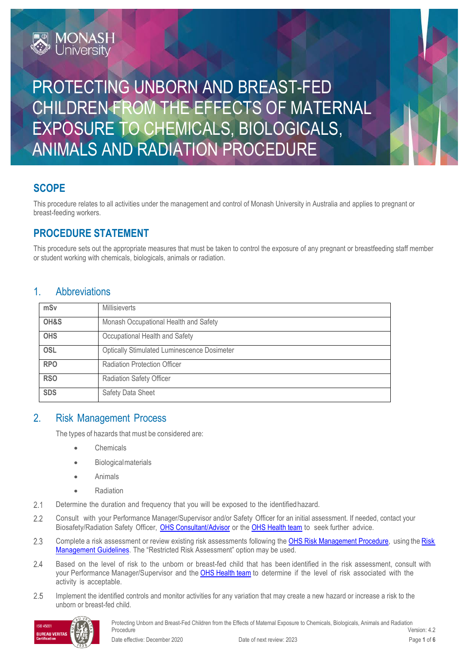# PROTECTING UNBORN AND BREAST-FED CHILDREN FROM THE EFFECTS OF MATERNAL EXPOSURE TO CHEMICALS, BIOLOGICALS, ANIMALS AND RADIATION PROCEDURE

## **SCOPE**

This procedure relates to all activities under the management and control of Monash University in Australia and applies to pregnant or breast-feeding workers.

## **PROCEDURE STATEMENT**

**MONASH**<br>University

This procedure sets out the appropriate measures that must be taken to control the exposure of any pregnant or breastfeeding staff member or student working with chemicals, biologicals, animals or radiation.

### 1. Abbreviations

| mSv        | <b>Millisieverts</b>                               |  |
|------------|----------------------------------------------------|--|
| OH&S       | Monash Occupational Health and Safety              |  |
| <b>OHS</b> | Occupational Health and Safety                     |  |
| <b>OSL</b> | <b>Optically Stimulated Luminescence Dosimeter</b> |  |
| <b>RPO</b> | Radiation Protection Officer                       |  |
| <b>RSO</b> | <b>Radiation Safety Officer</b>                    |  |
| <b>SDS</b> | Safety Data Sheet                                  |  |

### 2. Risk Management Process

The types of hazards that must be considered are:

- **Chemicals**
- Biologicalmaterials
- Animals
- Radiation
- Determine the duration and frequency that you will be exposed to the identifiedhazard.  $2.1$
- $2.2$ Consult with your Performance Manager/Supervisor and/or Safety Officer for an initial assessment. If needed, contact your Biosafety/Radiation Safety Officer, [OHS Consultant/Advisor](https://www.monash.edu/ohs/AboutUs) or the [OHS Health team](https://www.monash.edu/ohs/AboutUs/health-wellbeing) to seek further advice.
- $2.3$ Complete a risk assessment or review existing risk assessments following the [OHS Risk Management Procedure,](https://publicpolicydms.monash.edu/Monash/documents/1935636) using the Risk [Management](https://www.monash.edu/ohs/info-docs/safety-topics/risk-management-and-work-safe-instructions) Guidelines. The "Restricted Risk Assessment" option may be used.
- $2.4$ Based on the level of risk to the unborn or breast-fed child that has been identified in the risk assessment, consult with your Performance Manager/Supervisor and the **[OHS Health team](https://www.monash.edu/ohs/AboutUs/health-wellbeing)** to determine if the level of risk associated with the activity is acceptable.
- 2.5 Implement the identified controls and monitor activities for any variation that may create a new hazard or increase a risk to the unborn or breast-fed child.

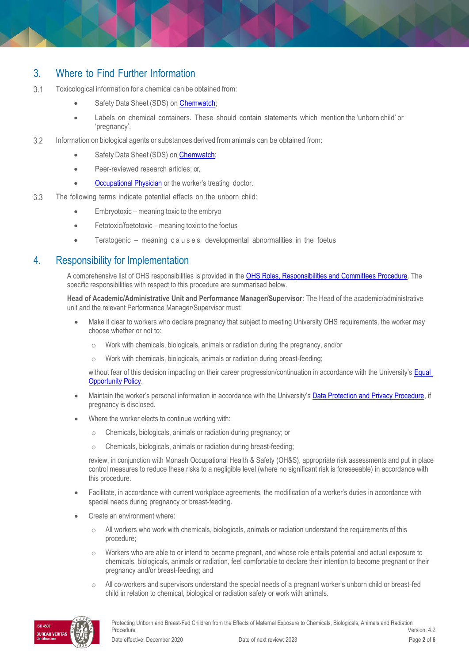### 3. Where to Find Further Information

- $3.1$ Toxicological information for a chemical can be obtained from:
	- Safety Data Sheet (SDS) on [Chemwatch;](https://www.monash.edu/ohs/info-docs/safety-topics/chemical-management/chemwatch)
	- Labels on chemical containers. These should contain statements which mention the 'unborn child' or 'pregnancy'.
- $3.2$ Information on biological agents or substances derived from animals can be obtained from:
	- Safety Data Sheet (SDS) o[n Chemwatch;](https://www.monash.edu/ohs/info-docs/safety-topics/chemical-management/chemwatch)
	- Peer-reviewed research articles; or,
	- **[Occupational Physician](https://www.monash.edu/ohs/AboutUs/health-wellbeing/physician)** or the worker's treating doctor.
- 3.3 The following terms indicate potential effects on the unborn child:
	- Embryotoxic meaning toxic to the embryo
	- Fetotoxic/foetotoxic meaning toxic to the foetus
	- Teratogenic meaning c a u s e s developmental abnormalities in the foetus

### 4. Responsibility for Implementation

A comprehensive list of OHS responsibilities is provided in th[e OHS Roles, Responsibilities and Committees Procedure.](https://publicpolicydms.monash.edu/Monash/documents/1935644) The specific responsibilities with respect to this procedure are summarised below.

**Head of Academic/Administrative Unit and Performance Manager/Supervisor**: The Head of the academic/administrative unit and the relevant Performance Manager/Supervisor must:

- Make it clear to workers who declare pregnancy that subject to meeting University OHS requirements, the worker may choose whether or not to:
	- o Work with chemicals, biologicals, animals or radiation during the pregnancy, and/or
	- o Work with chemicals, biologicals, animals or radiation during breast-feeding;

without fear of this decision impacting on their career progression/continuation in accordance with the University's Equal [Opportunity Policy.](https://publicpolicydms.monash.edu/Monash/documents/1935682)

- Maintain the worker's personal information in accordance with the University's [Data Protection and Privacy Procedure,](https://publicpolicydms.monash.edu/Monash/documents/1909233) if pregnancy is disclosed.
- Where the worker elects to continue working with:
	- Chemicals, biologicals, animals or radiation during pregnancy; or
	- o Chemicals, biologicals, animals or radiation during breast-feeding;

review, in conjunction with Monash Occupational Health & Safety (OH&S), appropriate risk assessments and put in place control measures to reduce these risks to a negligible level (where no significant risk is foreseeable) in accordance with this procedure.

- Facilitate, in accordance with current workplace agreements, the modification of a worker's duties in accordance with special needs during pregnancy or breast-feeding.
- Create an environment where:
	- o All workers who work with chemicals, biologicals, animals or radiation understand the requirements of this procedure;
	- Workers who are able to or intend to become pregnant, and whose role entails potential and actual exposure to chemicals, biologicals, animals or radiation, feel comfortable to declare their intention to become pregnant or their pregnancy and/or breast-feeding; and
	- o All co-workers and supervisors understand the special needs of a pregnant worker's unborn child or breast-fed child in relation to chemical, biological or radiation safety or work with animals.

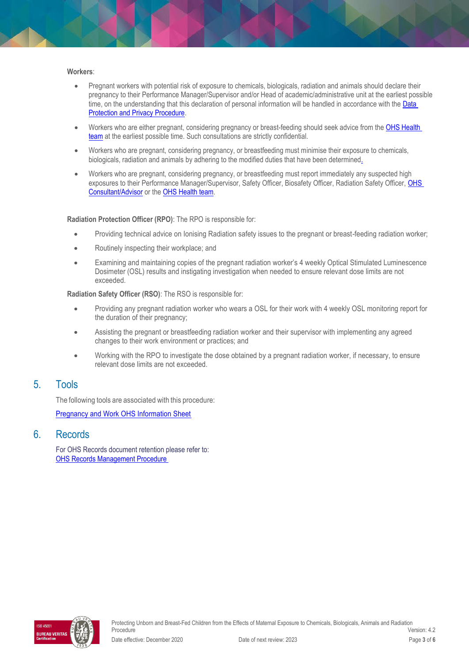#### **Workers**:

- Pregnant workers with potential risk of exposure to chemicals, biologicals, radiation and animals should declare their pregnancy to their Performance Manager/Supervisor and/or Head of academic/administrative unit at the earliest possible time, on the understanding that this declaration of personal information will be handled in accordance with the Data [Protection and Privacy Procedure.](https://publicpolicydms.monash.edu/Monash/documents/1909233)
- Workers who are either pregnant, considering pregnancy or breast-feeding should seek advice from the OHS Health [team](https://www.monash.edu/ohs/AboutUs) at the earliest possible time. Such consultations are strictly confidential.
- Workers who are pregnant, considering pregnancy, or breastfeeding must minimise their exposure to chemicals, biologicals, radiation and animals by adhering to the modified duties that have been determined.
- Workers who are pregnant, considering pregnancy, or breastfeeding must report immediately any suspected high exposures to their Performance Manager/Supervisor, Safety Officer, Biosafety Officer, Radiation Safety Officer, OHS [Consultant/Advisor](https://www.monash.edu/ohs/AboutUs) or the [OHS Health team.](https://www.monash.edu/ohs/AboutUs)

#### **Radiation Protection Officer (RPO)**: The RPO is responsible for:

- Providing technical advice on Ionising Radiation safety issues to the pregnant or breast-feeding radiation worker;
- Routinely inspecting their workplace; and
- Examining and maintaining copies of the pregnant radiation worker's 4 weekly Optical Stimulated Luminescence Dosimeter (OSL) results and instigating investigation when needed to ensure relevant dose limits are not exceeded.

**Radiation Safety Officer (RSO)**: The RSO is responsible for:

- Providing any pregnant radiation worker who wears a OSL for their work with 4 weekly OSL monitoring report for the duration of their pregnancy;
- Assisting the pregnant or breastfeeding radiation worker and their supervisor with implementing any agreed changes to their work environment or practices; and
- Working with the RPO to investigate the dose obtained by a pregnant radiation worker, if necessary, to ensure relevant dose limits are not exceeded.

### 5. Tools

The following tools are associated with this procedure:

[Pregnancy and Work OHS Information Sheet](https://www.monash.edu/ohs/info-docs/safety-topics/events-and-people/pregnancy-and-work)

### 6. Records

For OHS Records document retention please refer to: [OHS Records Management Procedure](https://publicpolicydms.monash.edu/Monash/documents/1935642) 

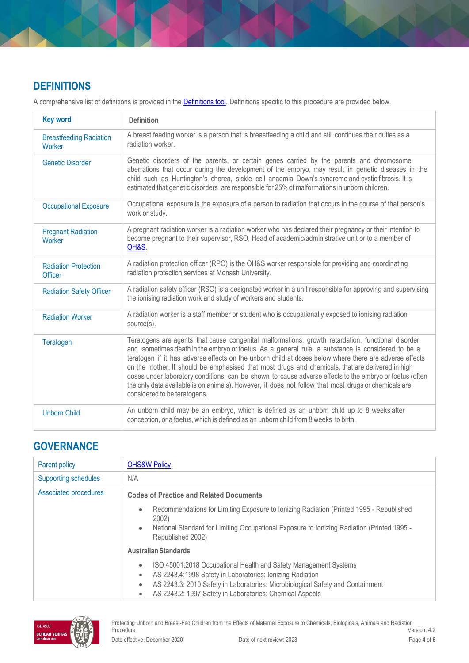# **DEFINITIONS**

A comprehensive list of definitions is provided in the **Definitions tool**. Definitions specific to this procedure are provided below.

| <b>Key word</b>                               | <b>Definition</b>                                                                                                                                                                                                                                                                                                                                                                                                                                                                                                                                                                                                                                                        |
|-----------------------------------------------|--------------------------------------------------------------------------------------------------------------------------------------------------------------------------------------------------------------------------------------------------------------------------------------------------------------------------------------------------------------------------------------------------------------------------------------------------------------------------------------------------------------------------------------------------------------------------------------------------------------------------------------------------------------------------|
| <b>Breastfeeding Radiation</b><br>Worker      | A breast feeding worker is a person that is breastfeeding a child and still continues their duties as a<br>radiation worker.                                                                                                                                                                                                                                                                                                                                                                                                                                                                                                                                             |
| <b>Genetic Disorder</b>                       | Genetic disorders of the parents, or certain genes carried by the parents and chromosome<br>aberrations that occur during the development of the embryo, may result in genetic diseases in the<br>child such as Huntington's chorea, sickle cell anaemia, Down's syndrome and cystic fibrosis. It is<br>estimated that genetic disorders are responsible for 25% of malformations in unborn children.                                                                                                                                                                                                                                                                    |
| <b>Occupational Exposure</b>                  | Occupational exposure is the exposure of a person to radiation that occurs in the course of that person's<br>work or study.                                                                                                                                                                                                                                                                                                                                                                                                                                                                                                                                              |
| <b>Pregnant Radiation</b><br>Worker           | A pregnant radiation worker is a radiation worker who has declared their pregnancy or their intention to<br>become pregnant to their supervisor, RSO, Head of academic/administrative unit or to a member of<br>OH&S.                                                                                                                                                                                                                                                                                                                                                                                                                                                    |
| <b>Radiation Protection</b><br><b>Officer</b> | A radiation protection officer (RPO) is the OH&S worker responsible for providing and coordinating<br>radiation protection services at Monash University.                                                                                                                                                                                                                                                                                                                                                                                                                                                                                                                |
| <b>Radiation Safety Officer</b>               | A radiation safety officer (RSO) is a designated worker in a unit responsible for approving and supervising<br>the ionising radiation work and study of workers and students.                                                                                                                                                                                                                                                                                                                                                                                                                                                                                            |
| <b>Radiation Worker</b>                       | A radiation worker is a staff member or student who is occupationally exposed to ionising radiation<br>source(s).                                                                                                                                                                                                                                                                                                                                                                                                                                                                                                                                                        |
| Teratogen                                     | Teratogens are agents that cause congenital malformations, growth retardation, functional disorder<br>and sometimes death in the embryo or foetus. As a general rule, a substance is considered to be a<br>teratogen if it has adverse effects on the unborn child at doses below where there are adverse effects<br>on the mother. It should be emphasised that most drugs and chemicals, that are delivered in high<br>doses under laboratory conditions, can be shown to cause adverse effects to the embryo or foetus (often<br>the only data available is on animals). However, it does not follow that most drugs or chemicals are<br>considered to be teratogens. |
| <b>Unborn Child</b>                           | An unborn child may be an embryo, which is defined as an unborn child up to 8 weeks after<br>conception, or a foetus, which is defined as an unborn child from 8 weeks to birth.                                                                                                                                                                                                                                                                                                                                                                                                                                                                                         |

# **GOVERNANCE**

| Parent policy               | <b>OHS&amp;W Policy</b>                                                                                                                                                                                                                                                                                                         |  |
|-----------------------------|---------------------------------------------------------------------------------------------------------------------------------------------------------------------------------------------------------------------------------------------------------------------------------------------------------------------------------|--|
| <b>Supporting schedules</b> | N/A                                                                                                                                                                                                                                                                                                                             |  |
| Associated procedures       | <b>Codes of Practice and Related Documents</b>                                                                                                                                                                                                                                                                                  |  |
|                             | Recommendations for Limiting Exposure to Ionizing Radiation (Printed 1995 - Republished<br>$\bullet$<br>2002)<br>National Standard for Limiting Occupational Exposure to Ionizing Radiation (Printed 1995 -<br>$\bullet$<br>Republished 2002)                                                                                   |  |
|                             | <b>Australian Standards</b>                                                                                                                                                                                                                                                                                                     |  |
|                             | ISO 45001:2018 Occupational Health and Safety Management Systems<br>$\bullet$<br>AS 2243.4:1998 Safety in Laboratories: Ionizing Radiation<br>$\bullet$<br>AS 2243.3: 2010 Safety in Laboratories: Microbiological Safety and Containment<br>$\bullet$<br>AS 2243.2: 1997 Safety in Laboratories: Chemical Aspects<br>$\bullet$ |  |

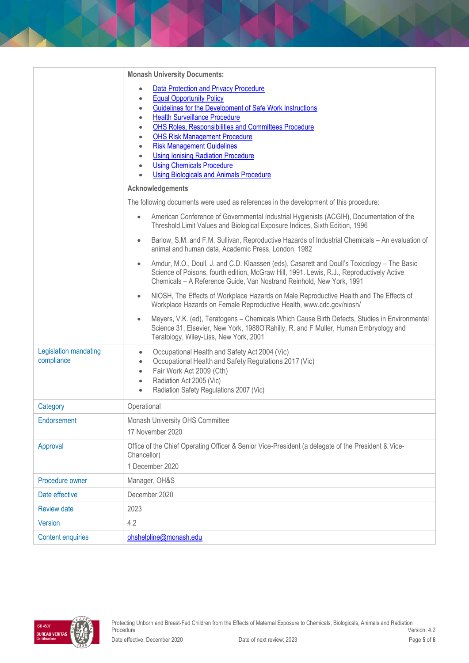|                                     | <b>Monash University Documents:</b>                                                                                                                                                                                                                                                                                                                                                                                                                                                                                                                                                           |  |  |  |
|-------------------------------------|-----------------------------------------------------------------------------------------------------------------------------------------------------------------------------------------------------------------------------------------------------------------------------------------------------------------------------------------------------------------------------------------------------------------------------------------------------------------------------------------------------------------------------------------------------------------------------------------------|--|--|--|
|                                     | <b>Data Protection and Privacy Procedure</b><br>$\bullet$<br><b>Equal Opportunity Policy</b><br>$\bullet$<br>Guidelines for the Development of Safe Work Instructions<br>$\bullet$<br><b>Health Surveillance Procedure</b><br>$\bullet$<br>OHS Roles, Responsibilities and Committees Procedure<br>$\bullet$<br><b>OHS Risk Management Procedure</b><br>$\bullet$<br><b>Risk Management Guidelines</b><br>$\bullet$<br><b>Using Ionising Radiation Procedure</b><br>$\bullet$<br><b>Using Chemicals Procedure</b><br>$\bullet$<br><b>Using Biologicals and Animals Procedure</b><br>$\bullet$ |  |  |  |
|                                     | Acknowledgements                                                                                                                                                                                                                                                                                                                                                                                                                                                                                                                                                                              |  |  |  |
|                                     | The following documents were used as references in the development of this procedure:                                                                                                                                                                                                                                                                                                                                                                                                                                                                                                         |  |  |  |
|                                     | American Conference of Governmental Industrial Hygienists (ACGIH), Documentation of the<br>$\bullet$<br>Threshold Limit Values and Biological Exposure Indices, Sixth Edition, 1996                                                                                                                                                                                                                                                                                                                                                                                                           |  |  |  |
|                                     | Barlow, S.M. and F.M. Sullivan, Reproductive Hazards of Industrial Chemicals - An evaluation of<br>$\bullet$<br>animal and human data, Academic Press, London, 1982                                                                                                                                                                                                                                                                                                                                                                                                                           |  |  |  |
|                                     | Amdur, M.O., Doull, J. and C.D. Klaassen (eds), Casarett and Doull's Toxicology - The Basic<br>$\bullet$<br>Science of Poisons, fourth edition, McGraw Hill, 1991. Lewis, R.J., Reproductively Active<br>Chemicals - A Reference Guide, Van Nostrand Reinhold, New York, 1991                                                                                                                                                                                                                                                                                                                 |  |  |  |
|                                     | NIOSH, The Effects of Workplace Hazards on Male Reproductive Health and The Effects of<br>$\bullet$<br>Workplace Hazards on Female Reproductive Health, www.cdc.gov/niosh/                                                                                                                                                                                                                                                                                                                                                                                                                    |  |  |  |
|                                     | Meyers, V.K. (ed), Teratogens - Chemicals Which Cause Birth Defects, Studies in Environmental<br>$\bullet$<br>Science 31, Elsevier, New York, 1988O'Rahilly, R. and F Muller, Human Embryology and<br>Teratology, Wiley-Liss, New York, 2001                                                                                                                                                                                                                                                                                                                                                  |  |  |  |
| Legislation mandating<br>compliance | Occupational Health and Safety Act 2004 (Vic)<br>$\bullet$<br>Occupational Health and Safety Regulations 2017 (Vic)<br>$\bullet$<br>Fair Work Act 2009 (Cth)<br>$\bullet$<br>Radiation Act 2005 (Vic)<br>$\bullet$<br>Radiation Safety Regulations 2007 (Vic)<br>$\bullet$                                                                                                                                                                                                                                                                                                                    |  |  |  |
| Category                            | Operational                                                                                                                                                                                                                                                                                                                                                                                                                                                                                                                                                                                   |  |  |  |
| Endorsement                         | Monash University OHS Committee<br>17 November 2020                                                                                                                                                                                                                                                                                                                                                                                                                                                                                                                                           |  |  |  |
| Approval                            | Office of the Chief Operating Officer & Senior Vice-President (a delegate of the President & Vice-<br>Chancellor)<br>1 December 2020                                                                                                                                                                                                                                                                                                                                                                                                                                                          |  |  |  |
| Procedure owner                     | Manager, OH&S                                                                                                                                                                                                                                                                                                                                                                                                                                                                                                                                                                                 |  |  |  |
| Date effective                      | December 2020                                                                                                                                                                                                                                                                                                                                                                                                                                                                                                                                                                                 |  |  |  |
| Review date                         | 2023                                                                                                                                                                                                                                                                                                                                                                                                                                                                                                                                                                                          |  |  |  |
| Version                             | 4.2                                                                                                                                                                                                                                                                                                                                                                                                                                                                                                                                                                                           |  |  |  |
| <b>Content enquiries</b>            | ohshelpline@monash.edu                                                                                                                                                                                                                                                                                                                                                                                                                                                                                                                                                                        |  |  |  |